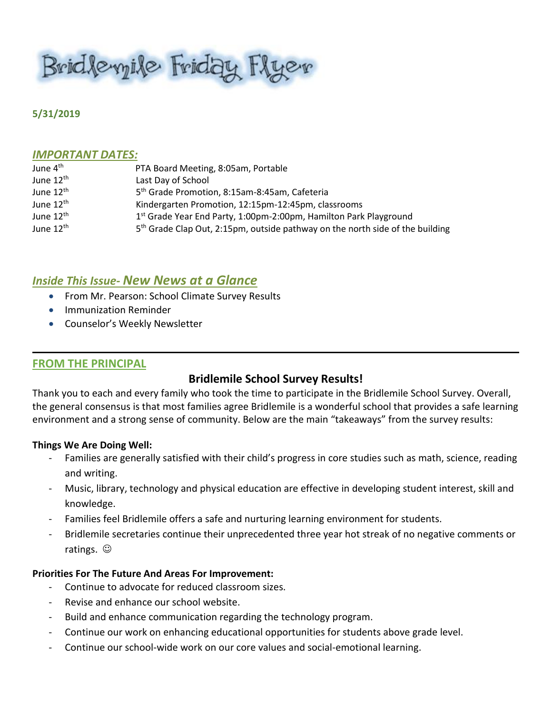Brid levyile Friday Flyer

#### **5/31/2019**

#### *IMPORTANT DATES:*

| June 4 <sup>th</sup>  | PTA Board Meeting, 8:05am, Portable                                                       |
|-----------------------|-------------------------------------------------------------------------------------------|
| June 12 <sup>th</sup> | Last Day of School                                                                        |
| June 12 <sup>th</sup> | 5 <sup>th</sup> Grade Promotion, 8:15am-8:45am, Cafeteria                                 |
| June 12 <sup>th</sup> | Kindergarten Promotion, 12:15pm-12:45pm, classrooms                                       |
| June 12 <sup>th</sup> | 1 <sup>st</sup> Grade Year End Party, 1:00pm-2:00pm, Hamilton Park Playground             |
| June 12 <sup>th</sup> | 5 <sup>th</sup> Grade Clap Out, 2:15pm, outside pathway on the north side of the building |

# *Inside This Issue- New News at a Glance*

- **From Mr. Pearson: School Climate Survey Results**
- **•** Immunization Reminder
- Counselor's Weekly Newsletter

#### **FROM THE PRINCIPAL**

#### **Bridlemile School Survey Results!**

Thank you to each and every family who took the time to participate in the Bridlemile School Survey. Overall, the general consensus is that most families agree Bridlemile is a wonderful school that provides a safe learning environment and a strong sense of community. Below are the main "takeaways" from the survey results:

#### **Things We Are Doing Well:**

- Families are generally satisfied with their child's progress in core studies such as math, science, reading and writing.
- Music, library, technology and physical education are effective in developing student interest, skill and knowledge.
- Families feel Bridlemile offers a safe and nurturing learning environment for students.
- Bridlemile secretaries continue their unprecedented three year hot streak of no negative comments or ratings.  $\odot$

#### **Priorities For The Future And Areas For Improvement:**

- Continue to advocate for reduced classroom sizes.
- Revise and enhance our school website.
- Build and enhance communication regarding the technology program.
- Continue our work on enhancing educational opportunities for students above grade level.
- Continue our school-wide work on our core values and social-emotional learning.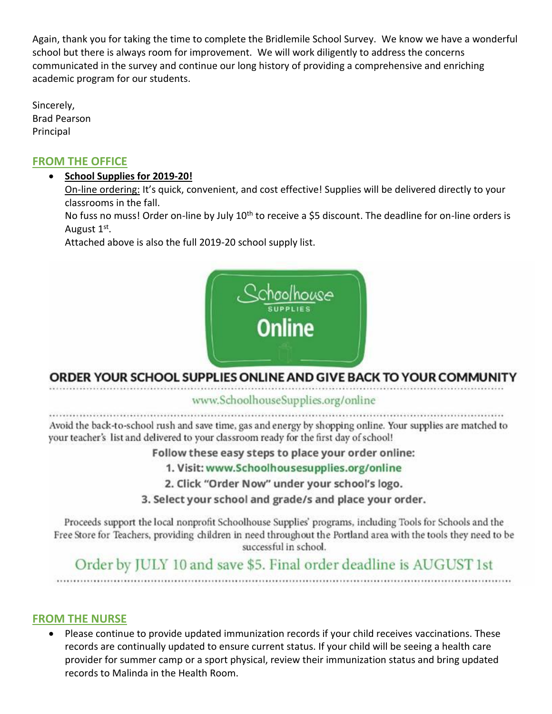Again, thank you for taking the time to complete the Bridlemile School Survey. We know we have a wonderful school but there is always room for improvement. We will work diligently to address the concerns communicated in the survey and continue our long history of providing a comprehensive and enriching academic program for our students.

Sincerely, Brad Pearson **Principal** 

# **FROM THE OFFICE**

# **School Supplies for 2019-20!**

On-line ordering: It's quick, convenient, and cost effective! Supplies will be delivered directly to your classrooms in the fall.

No fuss no muss! Order on-line by July 10<sup>th</sup> to receive a \$5 discount. The deadline for on-line orders is August 1<sup>st</sup>.

Attached above is also the full 2019-20 school supply list.



# ORDER YOUR SCHOOL SUPPLIES ONLINE AND GIVE BACK TO YOUR COMMUNITY

# www.SchoolhouseSupplies.org/online

Avoid the back-to-school rush and save time, gas and energy by shopping online. Your supplies are matched to your teacher's list and delivered to your classroom ready for the first day of school!

Follow these easy steps to place your order online:

1. Visit: www.Schoolhousesupplies.org/online

2. Click "Order Now" under your school's logo.

3. Select your school and grade/s and place your order.

Proceeds support the local nonprofit Schoolhouse Supplies' programs, including Tools for Schools and the Free Store for Teachers, providing children in need throughout the Portland area with the tools they need to be successful in school.

# Order by JULY 10 and save \$5. Final order deadline is AUGUST 1st

# **FROM THE NURSE**

 Please continue to provide updated immunization records if your child receives vaccinations. These records are continually updated to ensure current status. If your child will be seeing a health care provider for summer camp or a sport physical, review their immunization status and bring updated records to Malinda in the Health Room.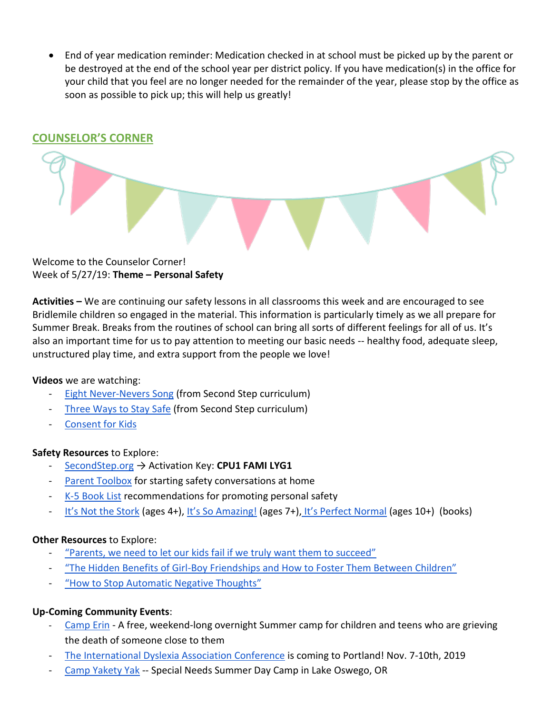End of year medication reminder: Medication checked in at school must be picked up by the parent or be destroyed at the end of the school year per district policy. If you have medication(s) in the office for your child that you feel are no longer needed for the remainder of the year, please stop by the office as soon as possible to pick up; this will help us greatly!

# **COUNSELOR'S CORNER** Welcome to the Counselor Corner!

Week of 5/27/19: **Theme – Personal Safety**

**Activities –** We are continuing our safety lessons in all classrooms this week and are encouraged to see Bridlemile children so engaged in the material. This information is particularly timely as we all prepare for Summer Break. Breaks from the routines of school can bring all sorts of different feelings for all of us. It's also an important time for us to pay attention to meeting our basic needs -- healthy food, adequate sleep, unstructured play time, and extra support from the people we love!

# **Videos** we are watching:

- **[Eight Never-Nevers Song](https://youtu.be/x-dsAqJ3Ln4) (from Second Step curriculum)**
- [Three Ways to Stay Safe](https://youtu.be/c8CcVStRnhc) (from Second Step curriculum)
- [Consent for Kids](https://youtu.be/h3nhM9UlJjc)

# **Safety Resources** to Explore:

- [SecondStep.org](https://www.secondstep.org/child-protection) → Activation Key: CPU1 FAMI LYG1
- [Parent Toolbox](https://www.earlyopenoften.org/) for starting safety conversations at home
- [K-5 Book](https://assets.ctfassets.net/98bcvzcrxclo/2U3QohEn2MQksQMeyKaQkM/a9ae360701acd76ced10ffeb8da47c6b/cpu-recommended-books-k-3.pdf) List recommendations for promoting personal safety
- [It's Not the Stork](https://www.amazon.com/Its-Not-Stork-Families-Friends/dp/0763633313/ref=sr_1_2?keywords=it%27s+not+the+stork&qid=1559068519&s=gateway&sr=8-2) (ages 4+), [It's So Amazing!](https://www.amazon.com/Its-So-Amazing-Families-Library/dp/0763668745/ref=pd_sim_14_1/134-2110958-2594708?_encoding=UTF8&pd_rd_i=0763668745&pd_rd_r=5b2fa136-8177-11e9-9b09-4f16de09a724&pd_rd_w=HiTC4&pd_rd_wg=RjKmL&pf_rd_p=90485860-83e9-4fd9-b838-b28a9b7fda30&pf_rd_r=KY483098TCRM4X9M9FS2&psc=1&refRID=KY483098TCRM4X9M9FS2) (ages 7+), [It's Perfect Normal](https://www.amazon.com/Its-Perfectly-Normal-Changing-Growing/dp/0763668729/ref=pd_bxgy_14_img_2/134-2110958-2594708?_encoding=UTF8&pd_rd_i=0763668729&pd_rd_r=6fbd2971-8177-11e9-8887-9b31b6cb4217&pd_rd_w=0xmB2&pd_rd_wg=QhPFP&pf_rd_p=a2006322-0bc0-4db9-a08e-d168c18ce6f0&pf_rd_r=Q65Q7FS3ZZ88BJ59SEXH&psc=1&refRID=Q65Q7FS3ZZ88BJ59SEXH) (ages 10+) (books)

# **Other Resources** to Explore:

- ["Parents, we need to let our kids fail if we truly want them to succeed"](https://www.boredteachers.com/inspiring/let-our-kids-fail?fbclid=IwAR0iO1KVVX6uUnEsuc8ySdYMvdIuUZ6rYaH8V1GodKQE3v7w7YcMghEQSPI)
- "The Hidden Benefits of Girl-[Boy Friendships and How to Foster Them Between Children"](https://www.amightygirl.com/blog?p=23152&fbclid=IwAR1lVFA1Z9It5rvghGnyJPdCQcE77vyOJee7BiIj-za9dbWs0zpmSZMlp5E)
- ["How to Stop Automatic Negative Thoughts"](https://www.huffpost.com/entry/how-to-stop-automatic-negative-thoughts_n_58330f18e4b0eaa5f14d4833?fbclid=IwAR2PUDdcvmAsITo21YDmCObsKuXIW6qKp8EGiGNrQo2kImnDtYK0ivEWQTA)

# **Up-Coming Community Events**:

- [Camp Erin](https://oregon.providence.org/our-services/c/camp-erin/) A free, weekend-long overnight Summer camp for children and teens who are grieving the death of someone close to them
- [The International Dyslexia Association Conference](https://www.eiseverywhere.com/website/887/home/) is coming to Portland! Nov. 7-10th, 2019
- [Camp Yakety Yak](http://www.campyaketyyak.org/) -- Special Needs Summer Day Camp in Lake Oswego, OR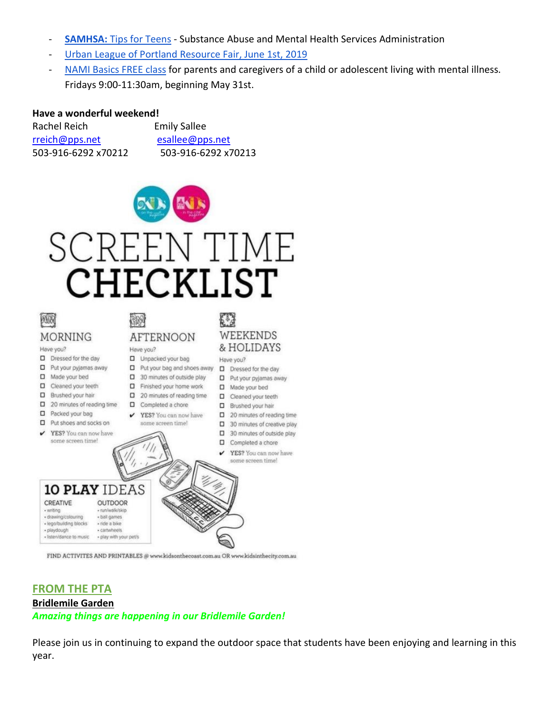- **[SAMHSA:](https://store.samhsa.gov/series/tips-teens?field_taxo_audience_tid%5B%5D=4953&field_taxo_pop_group_tid%5B%5D=5286&field_taxo_pop_group_tid%5B%5D=5292)** [Tips for Teens](https://store.samhsa.gov/series/tips-teens?field_taxo_audience_tid%5B%5D=4953&field_taxo_pop_group_tid%5B%5D=5286&field_taxo_pop_group_tid%5B%5D=5292) Substance Abuse and Mental Health Services Administration
- [Urban League of Portland Resource Fair, June 1st, 2019](https://ulpdx.org/category/events/)
- [NAMI Basics FREE class](https://namimultnomah.org/classes/basics/) for parents and caregivers of a child or adolescent living with mental illness. Fridays 9:00-11:30am, beginning May 31st.

#### **Have a wonderful weekend!**

| Rachel Reich        | <b>Emily Sallee</b> |
|---------------------|---------------------|
| rreich@pps.net      | esallee@pps.net     |
| 503-916-6292 x70212 | 503-916-6292 x70213 |



# SCREEN TIME CHECKLIST



# **FROM THE PTA Bridlemile Garden** *Amazing things are happening in our Bridlemile Garden!*

Please join us in continuing to expand the outdoor space that students have been enjoying and learning in this year.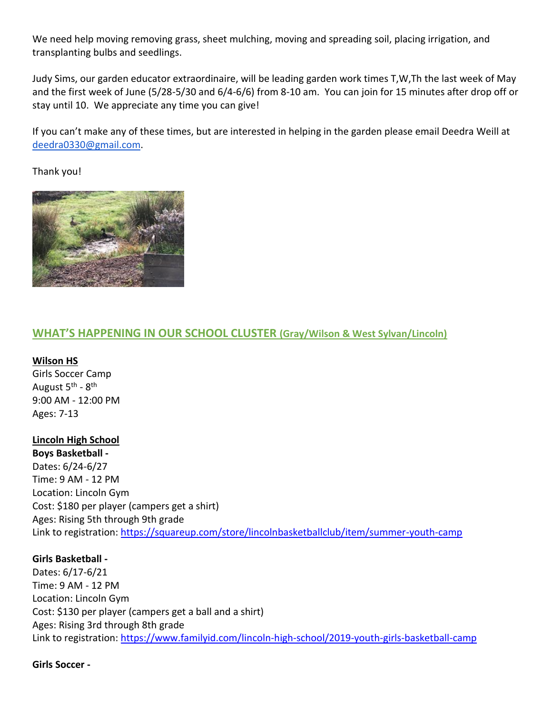We need help moving removing grass, sheet mulching, moving and spreading soil, placing irrigation, and transplanting bulbs and seedlings.

Judy Sims, our garden educator extraordinaire, will be leading garden work times T,W,Th the last week of May and the first week of June (5/28-5/30 and 6/4-6/6) from 8-10 am. You can join for 15 minutes after drop off or stay until 10. We appreciate any time you can give!

If you can't make any of these times, but are interested in helping in the garden please email Deedra Weill at [deedra0330@gmail.com.](mailto:deedra0330@gmail.com)

Thank you!



# **WHAT'S HAPPENING IN OUR SCHOOL CLUSTER (Gray/Wilson & West Sylvan/Lincoln)**

#### **Wilson HS**

Girls Soccer Camp August 5<sup>th</sup> - 8<sup>th</sup> 9:00 AM - 12:00 PM Ages: 7-13

# **Lincoln High School**

**Boys Basketball -** Dates: 6/24-6/27 Time: 9 AM - 12 PM Location: Lincoln Gym Cost: \$180 per player (campers get a shirt) Ages: Rising 5th through 9th grade Link to registration:<https://squareup.com/store/lincolnbasketballclub/item/summer-youth-camp>

# **Girls Basketball -**

Dates: 6/17-6/21 Time: 9 AM - 12 PM Location: Lincoln Gym Cost: \$130 per player (campers get a ball and a shirt) Ages: Rising 3rd through 8th grade Link to registration:<https://www.familyid.com/lincoln-high-school/2019-youth-girls-basketball-camp>

#### **Girls Soccer -**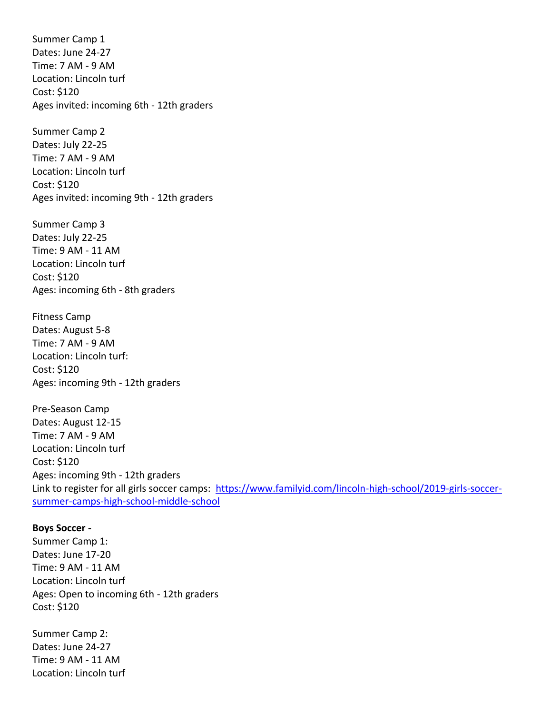Summer Camp 1 Dates: June 24-27 Time: 7 AM - 9 AM Location: Lincoln turf Cost: \$120 Ages invited: incoming 6th - 12th graders

Summer Camp 2 Dates: July 22-25 Time: 7 AM - 9 AM Location: Lincoln turf Cost: \$120 Ages invited: incoming 9th - 12th graders

Summer Camp 3 Dates: July 22-25 Time: 9 AM - 11 AM Location: Lincoln turf Cost: \$120 Ages: incoming 6th - 8th graders

Fitness Camp Dates: August 5-8 Time: 7 AM - 9 AM Location: Lincoln turf: Cost: \$120 Ages: incoming 9th - 12th graders

Pre-Season Camp Dates: August 12-15 Time: 7 AM - 9 AM Location: Lincoln turf Cost: \$120 Ages: incoming 9th - 12th graders Link to register for all girls soccer camps: [https://www.familyid.com/lincoln-high-school/2019-girls-soccer](https://www.familyid.com/lincoln-high-school/2019-girls-soccer-summer-camps-high-school-middle-school)[summer-camps-high-school-middle-school](https://www.familyid.com/lincoln-high-school/2019-girls-soccer-summer-camps-high-school-middle-school)

#### **Boys Soccer -**

Summer Camp 1: Dates: June 17-20 Time: 9 AM - 11 AM Location: Lincoln turf Ages: Open to incoming 6th - 12th graders Cost: \$120

Summer Camp 2: Dates: June 24-27 Time: 9 AM - 11 AM Location: Lincoln turf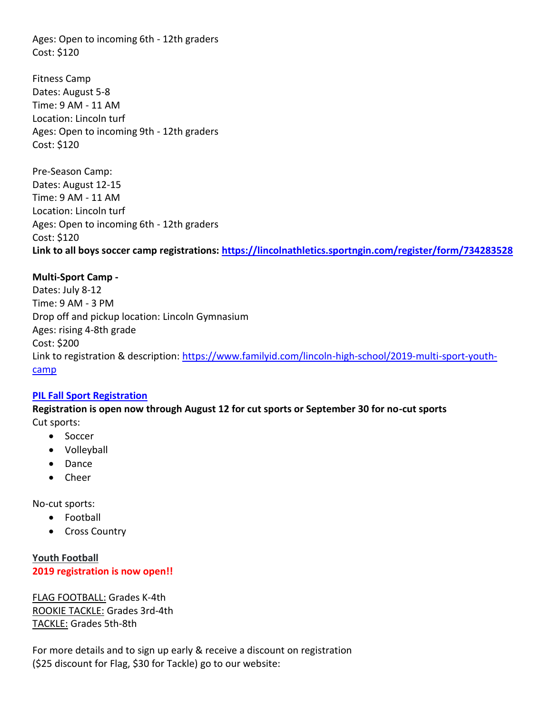Ages: Open to incoming 6th - 12th graders Cost: \$120

Fitness Camp Dates: August 5-8 Time: 9 AM - 11 AM Location: Lincoln turf Ages: Open to incoming 9th - 12th graders Cost: \$120

Pre-Season Camp: Dates: August 12-15 Time: 9 AM - 11 AM Location: Lincoln turf Ages: Open to incoming 6th - 12th graders Cost: \$120 **Link to all boys soccer camp registrations:<https://lincolnathletics.sportngin.com/register/form/734283528>**

#### **Multi-Sport Camp -**

Dates: July 8-12 Time: 9 AM - 3 PM Drop off and pickup location: Lincoln Gymnasium Ages: rising 4-8th grade Cost: \$200 Link to registration & description: [https://www.familyid.com/lincoln-high-school/2019-multi-sport-youth](https://www.familyid.com/lincoln-high-school/2019-multi-sport-youth-camp)[camp](https://www.familyid.com/lincoln-high-school/2019-multi-sport-youth-camp)

#### **[PIL Fall Sport Registration](https://www.familyid.com/lincoln-high-school/2019-fall-sport-registration)**

**Registration is open now through August 12 for cut sports or September 30 for no-cut sports** Cut sports:

- Soccer
- Volleyball
- Dance
- Cheer

No-cut sports:

- Football
- Cross Country

**Youth Football 2019 registration is now open!!**

FLAG FOOTBALL: Grades K-4th ROOKIE TACKLE: Grades 3rd-4th TACKLE: Grades 5th-8th

For more details and to sign up early & receive a discount on registration (\$25 discount for Flag, \$30 for Tackle) go to our website: